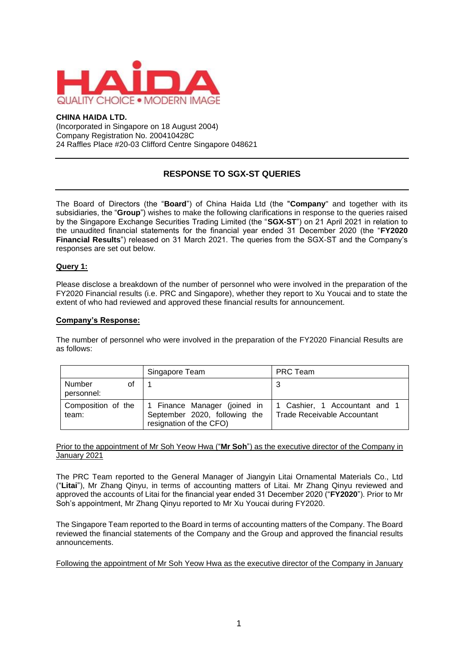

#### **CHINA HAIDA LTD.**

(Incorporated in Singapore on 18 August 2004) Company Registration No. 200410428C 24 Raffles Place #20-03 Clifford Centre Singapore 048621

# **RESPONSE TO SGX-ST QUERIES**

The Board of Directors (the "**Board**") of China Haida Ltd (the "**Company**" and together with its subsidiaries, the "**Group**") wishes to make the following clarifications in response to the queries raised by the Singapore Exchange Securities Trading Limited (the "**SGX-ST**") on 21 April 2021 in relation to the unaudited financial statements for the financial year ended 31 December 2020 (the "**FY2020 Financial Results**") released on 31 March 2021. The queries from the SGX-ST and the Company's responses are set out below.

### **Query 1:**

Please disclose a breakdown of the number of personnel who were involved in the preparation of the FY2020 Financial results (i.e. PRC and Singapore), whether they report to Xu Youcai and to state the extent of who had reviewed and approved these financial results for announcement.

### **Company's Response:**

The number of personnel who were involved in the preparation of the FY2020 Financial Results are as follows:

|                            | Singapore Team                                                                                                      | PRC Team                                                            |
|----------------------------|---------------------------------------------------------------------------------------------------------------------|---------------------------------------------------------------------|
| Number<br>0f<br>personnel: |                                                                                                                     |                                                                     |
| team:                      | Composition of the $\vert$ 1 Finance Manager (joined in<br>September 2020, following the<br>resignation of the CFO) | 1 Cashier, 1 Accountant and 1<br><b>Trade Receivable Accountant</b> |

### Prior to the appointment of Mr Soh Yeow Hwa ("**Mr Soh**") as the executive director of the Company in January 2021

The PRC Team reported to the General Manager of Jiangyin Litai Ornamental Materials Co., Ltd ("**Litai**"), Mr Zhang Qinyu, in terms of accounting matters of Litai. Mr Zhang Qinyu reviewed and approved the accounts of Litai for the financial year ended 31 December 2020 ("**FY2020**"). Prior to Mr Soh's appointment, Mr Zhang Qinyu reported to Mr Xu Youcai during FY2020.

The Singapore Team reported to the Board in terms of accounting matters of the Company. The Board reviewed the financial statements of the Company and the Group and approved the financial results announcements.

Following the appointment of Mr Soh Yeow Hwa as the executive director of the Company in January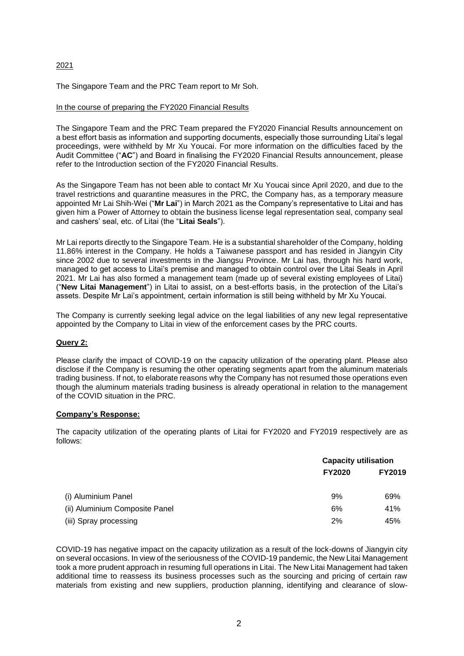# 2021

The Singapore Team and the PRC Team report to Mr Soh.

# In the course of preparing the FY2020 Financial Results

The Singapore Team and the PRC Team prepared the FY2020 Financial Results announcement on a best effort basis as information and supporting documents, especially those surrounding Litai's legal proceedings, were withheld by Mr Xu Youcai. For more information on the difficulties faced by the Audit Committee ("**AC**") and Board in finalising the FY2020 Financial Results announcement, please refer to the Introduction section of the FY2020 Financial Results.

As the Singapore Team has not been able to contact Mr Xu Youcai since April 2020, and due to the travel restrictions and quarantine measures in the PRC, the Company has, as a temporary measure appointed Mr Lai Shih-Wei ("**Mr Lai**") in March 2021 as the Company's representative to Litai and has given him a Power of Attorney to obtain the business license legal representation seal, company seal and cashers' seal, etc. of Litai (the "**Litai Seals**").

Mr Lai reports directly to the Singapore Team. He is a substantial shareholder of the Company, holding 11.86% interest in the Company. He holds a Taiwanese passport and has resided in Jiangyin City since 2002 due to several investments in the Jiangsu Province. Mr Lai has, through his hard work, managed to get access to Litai's premise and managed to obtain control over the Litai Seals in April 2021. Mr Lai has also formed a management team (made up of several existing employees of Litai) ("**New Litai Management**") in Litai to assist, on a best-efforts basis, in the protection of the Litai's assets. Despite Mr Lai's appointment, certain information is still being withheld by Mr Xu Youcai.

The Company is currently seeking legal advice on the legal liabilities of any new legal representative appointed by the Company to Litai in view of the enforcement cases by the PRC courts.

# **Query 2:**

Please clarify the impact of COVID-19 on the capacity utilization of the operating plant. Please also disclose if the Company is resuming the other operating segments apart from the aluminum materials trading business. If not, to elaborate reasons why the Company has not resumed those operations even though the aluminum materials trading business is already operational in relation to the management of the COVID situation in the PRC.

#### **Company's Response:**

The capacity utilization of the operating plants of Litai for FY2020 and FY2019 respectively are as follows:

|                                |               | <b>Capacity utilisation</b> |  |
|--------------------------------|---------------|-----------------------------|--|
|                                | <b>FY2020</b> | <b>FY2019</b>               |  |
| (i) Aluminium Panel            | 9%            | 69%                         |  |
| (ii) Aluminium Composite Panel | 6%            | 41%                         |  |
| (iii) Spray processing         | 2%            | 45%                         |  |

COVID-19 has negative impact on the capacity utilization as a result of the lock-downs of Jiangyin city on several occasions. In view of the seriousness of the COVID-19 pandemic, the New Litai Management took a more prudent approach in resuming full operations in Litai. The New Litai Management had taken additional time to reassess its business processes such as the sourcing and pricing of certain raw materials from existing and new suppliers, production planning, identifying and clearance of slow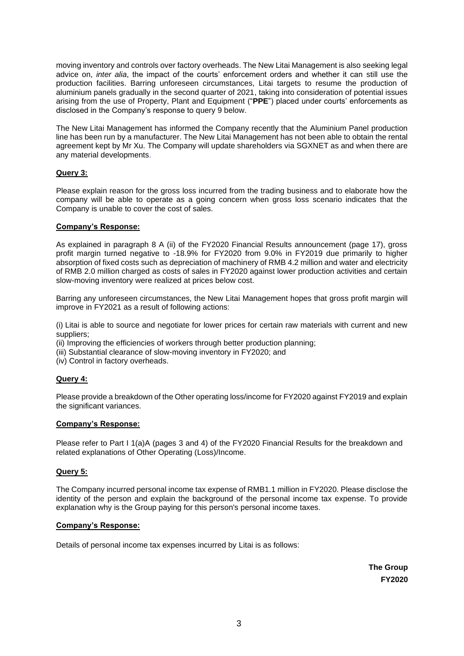moving inventory and controls over factory overheads. The New Litai Management is also seeking legal advice on, *inter alia*, the impact of the courts' enforcement orders and whether it can still use the production facilities. Barring unforeseen circumstances, Litai targets to resume the production of aluminium panels gradually in the second quarter of 2021, taking into consideration of potential issues arising from the use of Property, Plant and Equipment ("**PPE**") placed under courts' enforcements as disclosed in the Company's response to query 9 below.

The New Litai Management has informed the Company recently that the Aluminium Panel production line has been run by a manufacturer. The New Litai Management has not been able to obtain the rental agreement kept by Mr Xu. The Company will update shareholders via SGXNET as and when there are any material developments.

# **Query 3:**

Please explain reason for the gross loss incurred from the trading business and to elaborate how the company will be able to operate as a going concern when gross loss scenario indicates that the Company is unable to cover the cost of sales.

# **Company's Response:**

As explained in paragraph 8 A (ii) of the FY2020 Financial Results announcement (page 17), gross profit margin turned negative to -18.9% for FY2020 from 9.0% in FY2019 due primarily to higher absorption of fixed costs such as depreciation of machinery of RMB 4.2 million and water and electricity of RMB 2.0 million charged as costs of sales in FY2020 against lower production activities and certain slow-moving inventory were realized at prices below cost.

Barring any unforeseen circumstances, the New Litai Management hopes that gross profit margin will improve in FY2021 as a result of following actions:

(i) Litai is able to source and negotiate for lower prices for certain raw materials with current and new suppliers;

(ii) Improving the efficiencies of workers through better production planning;

- (iii) Substantial clearance of slow-moving inventory in FY2020; and
- (iv) Control in factory overheads.

# **Query 4:**

Please provide a breakdown of the Other operating loss/income for FY2020 against FY2019 and explain the significant variances.

#### **Company's Response:**

Please refer to Part I 1(a)A (pages 3 and 4) of the FY2020 Financial Results for the breakdown and related explanations of Other Operating (Loss)/Income.

#### **Query 5:**

The Company incurred personal income tax expense of RMB1.1 million in FY2020. Please disclose the identity of the person and explain the background of the personal income tax expense. To provide explanation why is the Group paying for this person's personal income taxes.

#### **Company's Response:**

Details of personal income tax expenses incurred by Litai is as follows:

**The Group FY2020**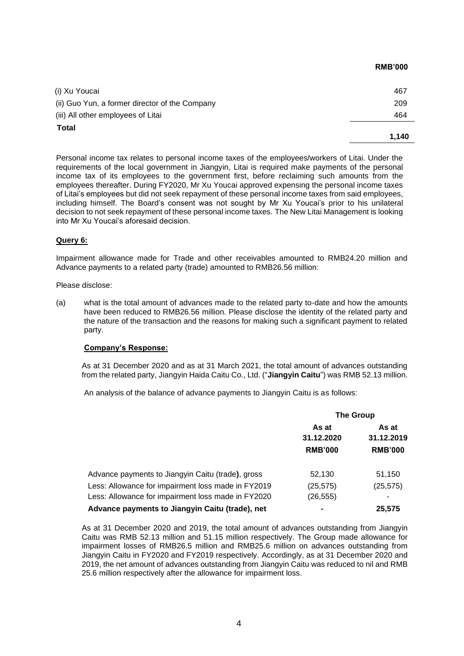| 464 |
|-----|
| 209 |
| 467 |
|     |

**RMB'000**

Personal income tax relates to personal income taxes of the employees/workers of Litai. Under the requirements of the local government in Jiangyin, Litai is required make payments of the personal income tax of its employees to the government first, before reclaiming such amounts from the employees thereafter. During FY2020, Mr Xu Youcai approved expensing the personal income taxes of Litai's employees but did not seek repayment of these personal income taxes from said employees, including himself. The Board's consent was not sought by Mr Xu Youcai's prior to his unilateral decision to not seek repayment of these personal income taxes. The New Litai Management is looking into Mr Xu Youcai's aforesaid decision.

# **Query 6:**

Impairment allowance made for Trade and other receivables amounted to RMB24.20 million and Advance payments to a related party (trade) amounted to RMB26.56 million:

Please disclose:

(a) what is the total amount of advances made to the related party to-date and how the amounts have been reduced to RMB26.56 million. Please disclose the identity of the related party and the nature of the transaction and the reasons for making such a significant payment to related party.

#### **Company's Response:**

As at 31 December 2020 and as at 31 March 2021, the total amount of advances outstanding from the related party, Jiangyin Haida Caitu Co., Ltd. ("**Jiangyin Caitu**") was RMB 52.13 million.

An analysis of the balance of advance payments to Jiangyin Caitu is as follows:

|                                                    | <b>The Group</b> |                     |
|----------------------------------------------------|------------------|---------------------|
|                                                    | As at            | As at<br>31.12.2019 |
|                                                    | 31.12.2020       |                     |
|                                                    | <b>RMB'000</b>   | <b>RMB'000</b>      |
| Advance payments to Jiangyin Caitu (trade), gross  | 52,130           | 51,150              |
| Less: Allowance for impairment loss made in FY2019 | (25, 575)        | (25, 575)           |
| Less: Allowance for impairment loss made in FY2020 | (26, 555)        |                     |
| Advance payments to Jiangyin Caitu (trade), net    | $\blacksquare$   | 25,575              |

As at 31 December 2020 and 2019, the total amount of advances outstanding from Jiangyin Caitu was RMB 52.13 million and 51.15 million respectively. The Group made allowance for impairment losses of RMB26.5 million and RMB25.6 million on advances outstanding from Jiangyin Caitu in FY2020 and FY2019 respectively. Accordingly, as at 31 December 2020 and 2019, the net amount of advances outstanding from Jiangyin Caitu was reduced to nil and RMB 25.6 million respectively after the allowance for impairment loss.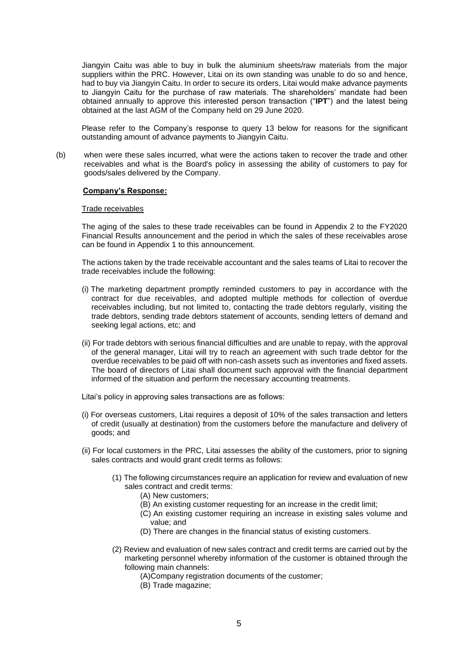Jiangyin Caitu was able to buy in bulk the aluminium sheets/raw materials from the major suppliers within the PRC. However, Litai on its own standing was unable to do so and hence, had to buy via Jiangyin Caitu. In order to secure its orders, Litai would make advance payments to Jiangyin Caitu for the purchase of raw materials. The shareholders' mandate had been obtained annually to approve this interested person transaction ("**IPT**") and the latest being obtained at the last AGM of the Company held on 29 June 2020.

Please refer to the Company's response to query 13 below for reasons for the significant outstanding amount of advance payments to Jiangyin Caitu.

(b) when were these sales incurred, what were the actions taken to recover the trade and other receivables and what is the Board's policy in assessing the ability of customers to pay for goods/sales delivered by the Company.

#### **Company's Response:**

#### Trade receivables

The aging of the sales to these trade receivables can be found in Appendix 2 to the FY2020 Financial Results announcement and the period in which the sales of these receivables arose can be found in Appendix 1 to this announcement.

The actions taken by the trade receivable accountant and the sales teams of Litai to recover the trade receivables include the following:

- (i) The marketing department promptly reminded customers to pay in accordance with the contract for due receivables, and adopted multiple methods for collection of overdue receivables including, but not limited to, contacting the trade debtors regularly, visiting the trade debtors, sending trade debtors statement of accounts, sending letters of demand and seeking legal actions, etc; and
- (ii) For trade debtors with serious financial difficulties and are unable to repay, with the approval of the general manager, Litai will try to reach an agreement with such trade debtor for the overdue receivables to be paid off with non-cash assets such as inventories and fixed assets. The board of directors of Litai shall document such approval with the financial department informed of the situation and perform the necessary accounting treatments.

Litai's policy in approving sales transactions are as follows:

- (i) For overseas customers, Litai requires a deposit of 10% of the sales transaction and letters of credit (usually at destination) from the customers before the manufacture and delivery of goods; and
- (ii) For local customers in the PRC, Litai assesses the ability of the customers, prior to signing sales contracts and would grant credit terms as follows:
	- (1) The following circumstances require an application for review and evaluation of new sales contract and credit terms:
		- (A) New customers;
		- (B) An existing customer requesting for an increase in the credit limit;
		- (C) An existing customer requiring an increase in existing sales volume and value; and
		- (D) There are changes in the financial status of existing customers.
	- (2) Review and evaluation of new sales contract and credit terms are carried out by the marketing personnel whereby information of the customer is obtained through the following main channels:
		- (A)Company registration documents of the customer;
		- (B) Trade magazine;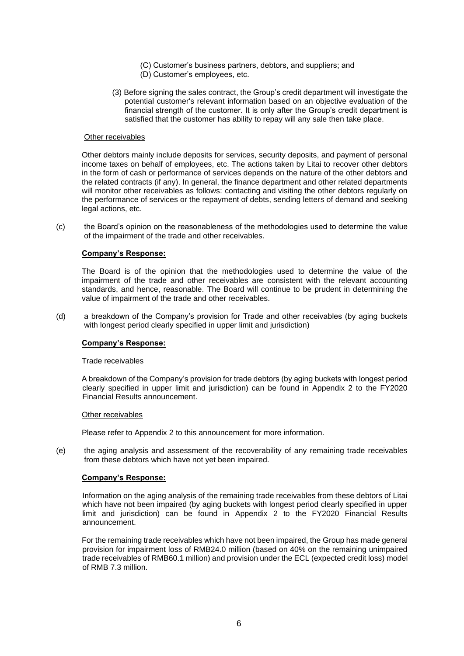- (C) Customer's business partners, debtors, and suppliers; and
- (D) Customer's employees, etc.
- (3) Before signing the sales contract, the Group's credit department will investigate the potential customer's relevant information based on an objective evaluation of the financial strength of the customer. It is only after the Group's credit department is satisfied that the customer has ability to repay will any sale then take place.

#### Other receivables

Other debtors mainly include deposits for services, security deposits, and payment of personal income taxes on behalf of employees, etc. The actions taken by Litai to recover other debtors in the form of cash or performance of services depends on the nature of the other debtors and the related contracts (if any). In general, the finance department and other related departments will monitor other receivables as follows: contacting and visiting the other debtors regularly on the performance of services or the repayment of debts, sending letters of demand and seeking legal actions, etc.

(c) the Board's opinion on the reasonableness of the methodologies used to determine the value of the impairment of the trade and other receivables.

### **Company's Response:**

The Board is of the opinion that the methodologies used to determine the value of the impairment of the trade and other receivables are consistent with the relevant accounting standards, and hence, reasonable. The Board will continue to be prudent in determining the value of impairment of the trade and other receivables.

(d) a breakdown of the Company's provision for Trade and other receivables (by aging buckets with longest period clearly specified in upper limit and jurisdiction)

#### **Company's Response:**

#### Trade receivables

A breakdown of the Company's provision for trade debtors (by aging buckets with longest period clearly specified in upper limit and jurisdiction) can be found in Appendix 2 to the FY2020 Financial Results announcement.

#### Other receivables

Please refer to Appendix 2 to this announcement for more information.

(e) the aging analysis and assessment of the recoverability of any remaining trade receivables from these debtors which have not yet been impaired.

# **Company's Response:**

Information on the aging analysis of the remaining trade receivables from these debtors of Litai which have not been impaired (by aging buckets with longest period clearly specified in upper limit and jurisdiction) can be found in Appendix 2 to the FY2020 Financial Results announcement.

For the remaining trade receivables which have not been impaired, the Group has made general provision for impairment loss of RMB24.0 million (based on 40% on the remaining unimpaired trade receivables of RMB60.1 million) and provision under the ECL (expected credit loss) model of RMB 7.3 million.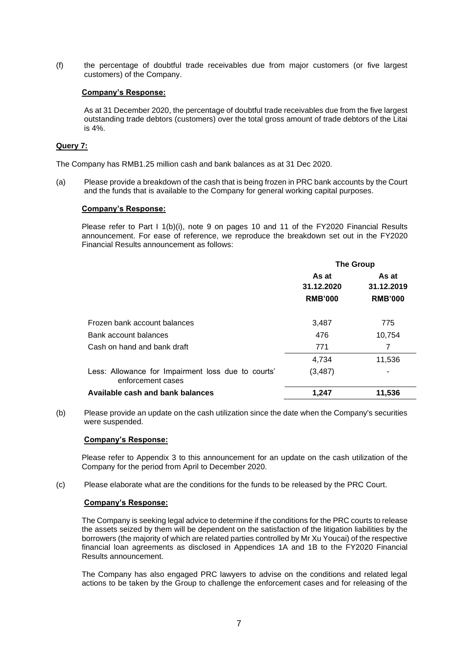(f) the percentage of doubtful trade receivables due from major customers (or five largest customers) of the Company.

### **Company's Response:**

As at 31 December 2020, the percentage of doubtful trade receivables due from the five largest outstanding trade debtors (customers) over the total gross amount of trade debtors of the Litai is 4%.

### **Query 7:**

The Company has RMB1.25 million cash and bank balances as at 31 Dec 2020.

(a) Please provide a breakdown of the cash that is being frozen in PRC bank accounts by the Court and the funds that is available to the Company for general working capital purposes.

#### **Company's Response:**

Please refer to Part I 1(b)(i), note 9 on pages 10 and 11 of the FY2020 Financial Results announcement. For ease of reference, we reproduce the breakdown set out in the FY2020 Financial Results announcement as follows:

|                                                                         | <b>The Group</b> |                |
|-------------------------------------------------------------------------|------------------|----------------|
|                                                                         | As at            | As at          |
|                                                                         | 31.12.2020       | 31.12.2019     |
|                                                                         | <b>RMB'000</b>   | <b>RMB'000</b> |
|                                                                         |                  |                |
| Frozen bank account balances                                            | 3,487            | 775            |
| Bank account balances                                                   | 476              | 10,754         |
| Cash on hand and bank draft                                             | 771              | $\overline{7}$ |
|                                                                         | 4,734            | 11,536         |
| Less: Allowance for Impairment loss due to courts'<br>enforcement cases | (3, 487)         |                |
| Available cash and bank balances                                        | 1,247            | 11,536         |

(b) Please provide an update on the cash utilization since the date when the Company's securities were suspended.

#### **Company's Response:**

Please refer to Appendix 3 to this announcement for an update on the cash utilization of the Company for the period from April to December 2020.

(c) Please elaborate what are the conditions for the funds to be released by the PRC Court.

#### **Company's Response:**

The Company is seeking legal advice to determine if the conditions for the PRC courts to release the assets seized by them will be dependent on the satisfaction of the litigation liabilities by the borrowers (the majority of which are related parties controlled by Mr Xu Youcai) of the respective financial loan agreements as disclosed in Appendices 1A and 1B to the FY2020 Financial Results announcement.

The Company has also engaged PRC lawyers to advise on the conditions and related legal actions to be taken by the Group to challenge the enforcement cases and for releasing of the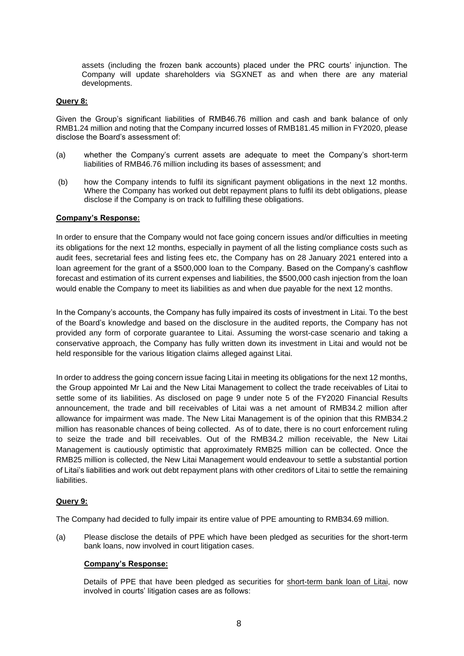assets (including the frozen bank accounts) placed under the PRC courts' injunction. The Company will update shareholders via SGXNET as and when there are any material developments.

# **Query 8:**

Given the Group's significant liabilities of RMB46.76 million and cash and bank balance of only RMB1.24 million and noting that the Company incurred losses of RMB181.45 million in FY2020, please disclose the Board's assessment of:

- (a) whether the Company's current assets are adequate to meet the Company's short-term liabilities of RMB46.76 million including its bases of assessment; and
- (b) how the Company intends to fulfil its significant payment obligations in the next 12 months. Where the Company has worked out debt repayment plans to fulfil its debt obligations, please disclose if the Company is on track to fulfilling these obligations.

#### **Company's Response:**

In order to ensure that the Company would not face going concern issues and/or difficulties in meeting its obligations for the next 12 months, especially in payment of all the listing compliance costs such as audit fees, secretarial fees and listing fees etc, the Company has on 28 January 2021 entered into a loan agreement for the grant of a \$500,000 loan to the Company. Based on the Company's cashflow forecast and estimation of its current expenses and liabilities, the \$500,000 cash injection from the loan would enable the Company to meet its liabilities as and when due payable for the next 12 months.

In the Company's accounts, the Company has fully impaired its costs of investment in Litai. To the best of the Board's knowledge and based on the disclosure in the audited reports, the Company has not provided any form of corporate guarantee to Litai. Assuming the worst-case scenario and taking a conservative approach, the Company has fully written down its investment in Litai and would not be held responsible for the various litigation claims alleged against Litai.

In order to address the going concern issue facing Litai in meeting its obligations for the next 12 months, the Group appointed Mr Lai and the New Litai Management to collect the trade receivables of Litai to settle some of its liabilities. As disclosed on page 9 under note 5 of the FY2020 Financial Results announcement, the trade and bill receivables of Litai was a net amount of RMB34.2 million after allowance for impairment was made. The New Litai Management is of the opinion that this RMB34.2 million has reasonable chances of being collected. As of to date, there is no court enforcement ruling to seize the trade and bill receivables. Out of the RMB34.2 million receivable, the New Litai Management is cautiously optimistic that approximately RMB25 million can be collected. Once the RMB25 million is collected, the New Litai Management would endeavour to settle a substantial portion of Litai's liabilities and work out debt repayment plans with other creditors of Litai to settle the remaining liabilities.

### **Query 9:**

The Company had decided to fully impair its entire value of PPE amounting to RMB34.69 million.

(a) Please disclose the details of PPE which have been pledged as securities for the short-term bank loans, now involved in court litigation cases.

#### **Company's Response:**

Details of PPE that have been pledged as securities for short-term bank loan of Litai, now involved in courts' litigation cases are as follows: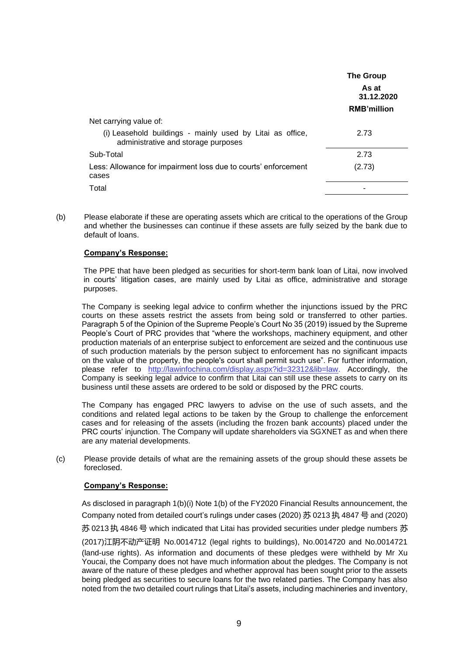|                                                                                                  | <b>The Group</b><br>As at<br>31.12.2020<br><b>RMB'million</b> |
|--------------------------------------------------------------------------------------------------|---------------------------------------------------------------|
| Net carrying value of:                                                                           |                                                               |
| (i) Leasehold buildings - mainly used by Litai as office,<br>administrative and storage purposes | 2.73                                                          |
| Sub-Total                                                                                        | 2.73                                                          |
| Less: Allowance for impairment loss due to courts' enforcement<br>cases                          | (2.73)                                                        |
| Total                                                                                            |                                                               |

(b) Please elaborate if these are operating assets which are critical to the operations of the Group and whether the businesses can continue if these assets are fully seized by the bank due to default of loans.

# **Company's Response:**

The PPE that have been pledged as securities for short-term bank loan of Litai, now involved in courts' litigation cases, are mainly used by Litai as office, administrative and storage purposes.

The Company is seeking legal advice to confirm whether the injunctions issued by the PRC courts on these assets restrict the assets from being sold or transferred to other parties. Paragraph 5 of the Opinion of the Supreme People's Court No 35 (2019) issued by the Supreme People's Court of PRC provides that "where the workshops, machinery equipment, and other production materials of an enterprise subject to enforcement are seized and the continuous use of such production materials by the person subject to enforcement has no significant impacts on the value of the property, the people's court shall permit such use". For further information, please refer to [http://lawinfochina.com/display.aspx?id=32312&lib=law.](http://lawinfochina.com/display.aspx?id=32312&lib=law) Accordingly, the Company is seeking legal advice to confirm that Litai can still use these assets to carry on its business until these assets are ordered to be sold or disposed by the PRC courts.

The Company has engaged PRC lawyers to advise on the use of such assets, and the conditions and related legal actions to be taken by the Group to challenge the enforcement cases and for releasing of the assets (including the frozen bank accounts) placed under the PRC courts' injunction. The Company will update shareholders via SGXNET as and when there are any material developments.

(c) Please provide details of what are the remaining assets of the group should these assets be foreclosed.

#### **Company's Response:**

As disclosed in paragraph 1(b)(i) Note 1(b) of the FY2020 Financial Results announcement, the Company noted from detailed court's rulings under cases (2020) 苏 0213 执 4847 号 and (2020) 苏 0213 执 4846 号 which indicated that Litai has provided securities under pledge numbers 苏 (2017)江阴不动产证明 No.0014712 (legal rights to buildings), No.0014720 and No.0014721 (land-use rights). As information and documents of these pledges were withheld by Mr Xu Youcai, the Company does not have much information about the pledges. The Company is not aware of the nature of these pledges and whether approval has been sought prior to the assets being pledged as securities to secure loans for the two related parties. The Company has also noted from the two detailed court rulings that Litai's assets, including machineries and inventory,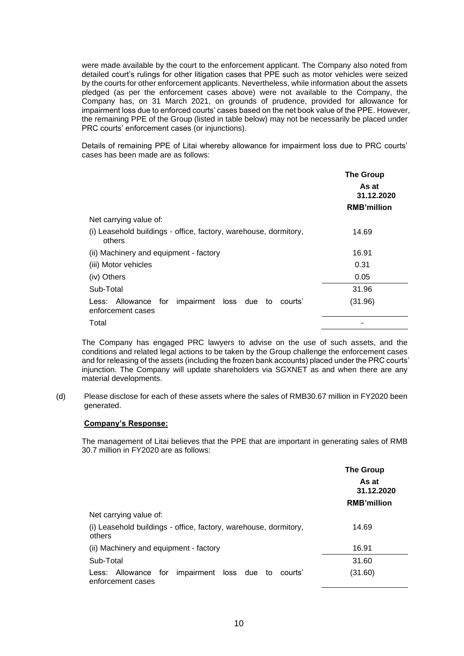were made available by the court to the enforcement applicant. The Company also noted from detailed court's rulings for other litigation cases that PPE such as motor vehicles were seized by the courts for other enforcement applicants. Nevertheless, while information about the assets pledged (as per the enforcement cases above) were not available to the Company, the Company has, on 31 March 2021, on grounds of prudence, provided for allowance for impairment loss due to enforced courts' cases based on the net book value of the PPE. However, the remaining PPE of the Group (listed in table below) may not be necessarily be placed under PRC courts' enforcement cases (or injunctions).

Details of remaining PPE of Litai whereby allowance for impairment loss due to PRC courts' cases has been made are as follows:

|                                                                                     | <b>The Group</b><br>As at<br>31.12.2020<br><b>RMB'million</b> |
|-------------------------------------------------------------------------------------|---------------------------------------------------------------|
| Net carrying value of:                                                              |                                                               |
| (i) Leasehold buildings - office, factory, warehouse, dormitory,<br>others          | 14.69                                                         |
| (ii) Machinery and equipment - factory                                              | 16.91                                                         |
| (iii) Motor vehicles                                                                | 0.31                                                          |
| (iv) Others                                                                         | 0.05                                                          |
| Sub-Total                                                                           | 31.96                                                         |
| impairment loss due to<br>Allowance<br>for<br>Less:<br>courts'<br>enforcement cases | (31.96)                                                       |
| Total                                                                               |                                                               |

The Company has engaged PRC lawyers to advise on the use of such assets, and the conditions and related legal actions to be taken by the Group challenge the enforcement cases and for releasing of the assets (including the frozen bank accounts) placed under the PRC courts' injunction. The Company will update shareholders via SGXNET as and when there are any material developments.

(d) Please disclose for each of these assets where the sales of RMB30.67 million in FY2020 been generated.

### **Company's Response:**

The management of Litai believes that the PPE that are important in generating sales of RMB 30.7 million in FY2020 are as follows:

|                                                                                  | <b>The Group</b><br>As at<br>31.12.2020<br><b>RMB'million</b> |
|----------------------------------------------------------------------------------|---------------------------------------------------------------|
| Net carrying value of:                                                           |                                                               |
| (i) Leasehold buildings - office, factory, warehouse, dormitory,<br>others       | 14.69                                                         |
| (ii) Machinery and equipment - factory                                           | 16.91                                                         |
| Sub-Total                                                                        | 31.60                                                         |
| impairment loss due to<br>Less: Allowance<br>for<br>courts'<br>enforcement cases | (31.60)                                                       |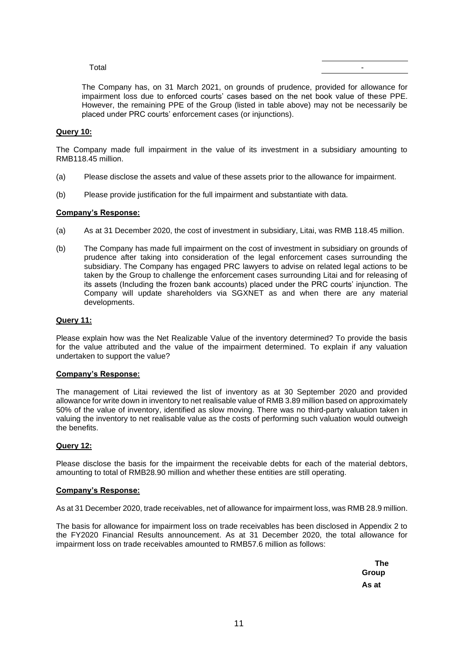### Total -

The Company has, on 31 March 2021, on grounds of prudence, provided for allowance for impairment loss due to enforced courts' cases based on the net book value of these PPE. However, the remaining PPE of the Group (listed in table above) may not be necessarily be placed under PRC courts' enforcement cases (or injunctions).

# **Query 10:**

The Company made full impairment in the value of its investment in a subsidiary amounting to RMB118.45 million.

- (a) Please disclose the assets and value of these assets prior to the allowance for impairment.
- (b) Please provide justification for the full impairment and substantiate with data.

### **Company's Response:**

- (a) As at 31 December 2020, the cost of investment in subsidiary, Litai, was RMB 118.45 million.
- (b) The Company has made full impairment on the cost of investment in subsidiary on grounds of prudence after taking into consideration of the legal enforcement cases surrounding the subsidiary. The Company has engaged PRC lawyers to advise on related legal actions to be taken by the Group to challenge the enforcement cases surrounding Litai and for releasing of its assets (Including the frozen bank accounts) placed under the PRC courts' injunction. The Company will update shareholders via SGXNET as and when there are any material developments.

## **Query 11:**

Please explain how was the Net Realizable Value of the inventory determined? To provide the basis for the value attributed and the value of the impairment determined. To explain if any valuation undertaken to support the value?

#### **Company's Response:**

The management of Litai reviewed the list of inventory as at 30 September 2020 and provided allowance for write down in inventory to net realisable value of RMB 3.89 million based on approximately 50% of the value of inventory, identified as slow moving. There was no third-party valuation taken in valuing the inventory to net realisable value as the costs of performing such valuation would outweigh the benefits.

# **Query 12:**

Please disclose the basis for the impairment the receivable debts for each of the material debtors, amounting to total of RMB28.90 million and whether these entities are still operating.

#### **Company's Response:**

As at 31 December 2020, trade receivables, net of allowance for impairment loss, was RMB 28.9 million.

The basis for allowance for impairment loss on trade receivables has been disclosed in Appendix 2 to the FY2020 Financial Results announcement. As at 31 December 2020, the total allowance for impairment loss on trade receivables amounted to RMB57.6 million as follows:

> **The Group As at**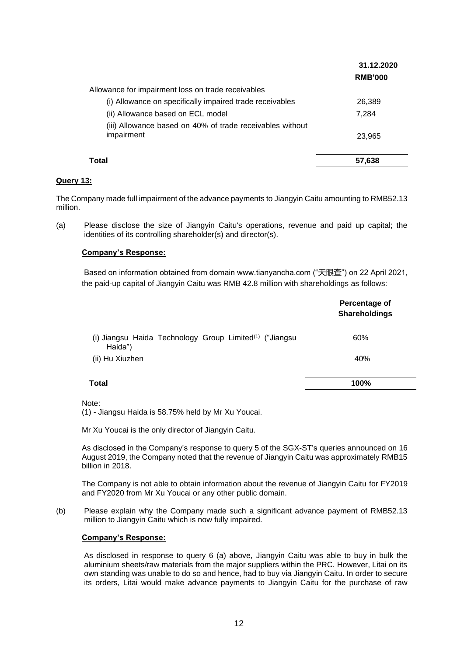|                                                                         | 31.12.2020<br><b>RMB'000</b> |
|-------------------------------------------------------------------------|------------------------------|
| Allowance for impairment loss on trade receivables                      |                              |
| (i) Allowance on specifically impaired trade receivables                | 26,389                       |
| (ii) Allowance based on ECL model                                       | 7.284                        |
| (iii) Allowance based on 40% of trade receivables without<br>impairment | 23,965                       |
| Total                                                                   | 57.638                       |

# **Query 13:**

The Company made full impairment of the advance payments to Jiangyin Caitu amounting to RMB52.13 million.

(a) Please disclose the size of Jiangyin Caitu's operations, revenue and paid up capital; the identities of its controlling shareholder(s) and director(s).

### **Company's Response:**

Based on information obtained from domain www.tianyancha.com ("天眼查") on 22 April 2021, the paid-up capital of Jiangyin Caitu was RMB 42.8 million with shareholdings as follows:

|                                                                                | Percentage of<br><b>Shareholdings</b> |
|--------------------------------------------------------------------------------|---------------------------------------|
| (i) Jiangsu Haida Technology Group Limited <sup>(1)</sup> ("Jiangsu<br>Haida") | 60%                                   |
| (ii) Hu Xiuzhen                                                                | 40%                                   |
| Total                                                                          | 100%                                  |

Note: (1) - Jiangsu Haida is 58.75% held by Mr Xu Youcai.

Mr Xu Youcai is the only director of Jiangyin Caitu.

As disclosed in the Company's response to query 5 of the SGX-ST's queries announced on 16 August 2019, the Company noted that the revenue of Jiangyin Caitu was approximately RMB15 billion in 2018.

The Company is not able to obtain information about the revenue of Jiangyin Caitu for FY2019 and FY2020 from Mr Xu Youcai or any other public domain.

(b) Please explain why the Company made such a significant advance payment of RMB52.13 million to Jiangyin Caitu which is now fully impaired.

#### **Company's Response:**

As disclosed in response to query 6 (a) above, Jiangyin Caitu was able to buy in bulk the aluminium sheets/raw materials from the major suppliers within the PRC. However, Litai on its own standing was unable to do so and hence, had to buy via Jiangyin Caitu. In order to secure its orders, Litai would make advance payments to Jiangyin Caitu for the purchase of raw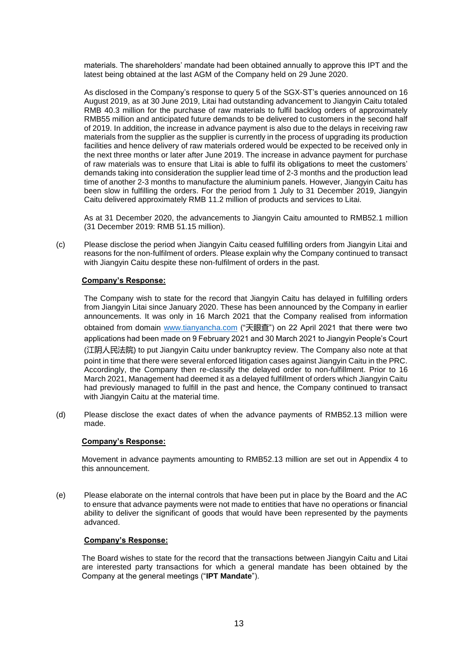materials. The shareholders' mandate had been obtained annually to approve this IPT and the latest being obtained at the last AGM of the Company held on 29 June 2020.

As disclosed in the Company's response to query 5 of the SGX-ST's queries announced on 16 August 2019, as at 30 June 2019, Litai had outstanding advancement to Jiangyin Caitu totaled RMB 40.3 million for the purchase of raw materials to fulfil backlog orders of approximately RMB55 million and anticipated future demands to be delivered to customers in the second half of 2019. In addition, the increase in advance payment is also due to the delays in receiving raw materials from the supplier as the supplier is currently in the process of upgrading its production facilities and hence delivery of raw materials ordered would be expected to be received only in the next three months or later after June 2019. The increase in advance payment for purchase of raw materials was to ensure that Litai is able to fulfil its obligations to meet the customers' demands taking into consideration the supplier lead time of 2-3 months and the production lead time of another 2-3 months to manufacture the aluminium panels. However, Jiangyin Caitu has been slow in fulfilling the orders. For the period from 1 July to 31 December 2019, Jiangyin Caitu delivered approximately RMB 11.2 million of products and services to Litai.

As at 31 December 2020, the advancements to Jiangyin Caitu amounted to RMB52.1 million (31 December 2019: RMB 51.15 million).

(c) Please disclose the period when Jiangyin Caitu ceased fulfilling orders from Jiangyin Litai and reasons for the non-fulfilment of orders. Please explain why the Company continued to transact with Jiangyin Caitu despite these non-fulfilment of orders in the past.

### **Company's Response:**

The Company wish to state for the record that Jiangyin Caitu has delayed in fulfilling orders from Jiangyin Litai since January 2020. These has been announced by the Company in earlier announcements. It was only in 16 March 2021 that the Company realised from information obtained from domain [www.tianyancha.com](http://www.tianyancha.com/) ("天眼查") on 22 April 2021 that there were two applications had been made on 9 February 2021 and 30 March 2021 to Jiangyin People's Court (江阴人民法院) to put Jiangyin Caitu under bankruptcy review. The Company also note at that point in time that there were several enforced litigation cases against Jiangyin Caitu in the PRC. Accordingly, the Company then re-classify the delayed order to non-fulfillment. Prior to 16 March 2021, Management had deemed it as a delayed fulfillment of orders which Jiangyin Caitu had previously managed to fulfill in the past and hence, the Company continued to transact with Jiangyin Caitu at the material time.

(d) Please disclose the exact dates of when the advance payments of RMB52.13 million were made.

#### **Company's Response:**

Movement in advance payments amounting to RMB52.13 million are set out in Appendix 4 to this announcement.

(e) Please elaborate on the internal controls that have been put in place by the Board and the AC to ensure that advance payments were not made to entities that have no operations or financial ability to deliver the significant of goods that would have been represented by the payments advanced.

#### **Company's Response:**

The Board wishes to state for the record that the transactions between Jiangyin Caitu and Litai are interested party transactions for which a general mandate has been obtained by the Company at the general meetings ("**IPT Mandate**").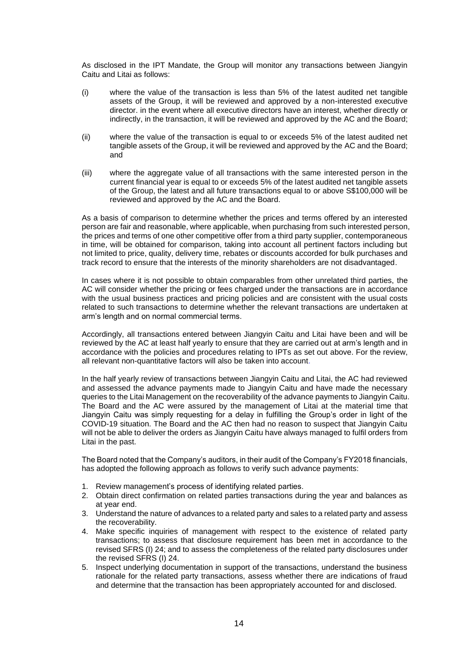As disclosed in the IPT Mandate, the Group will monitor any transactions between Jiangyin Caitu and Litai as follows:

- (i) where the value of the transaction is less than 5% of the latest audited net tangible assets of the Group, it will be reviewed and approved by a non-interested executive director. in the event where all executive directors have an interest, whether directly or indirectly, in the transaction, it will be reviewed and approved by the AC and the Board;
- (ii) where the value of the transaction is equal to or exceeds 5% of the latest audited net tangible assets of the Group, it will be reviewed and approved by the AC and the Board; and
- (iii) where the aggregate value of all transactions with the same interested person in the current financial year is equal to or exceeds 5% of the latest audited net tangible assets of the Group, the latest and all future transactions equal to or above S\$100,000 will be reviewed and approved by the AC and the Board.

As a basis of comparison to determine whether the prices and terms offered by an interested person are fair and reasonable, where applicable, when purchasing from such interested person, the prices and terms of one other competitive offer from a third party supplier, contemporaneous in time, will be obtained for comparison, taking into account all pertinent factors including but not limited to price, quality, delivery time, rebates or discounts accorded for bulk purchases and track record to ensure that the interests of the minority shareholders are not disadvantaged.

In cases where it is not possible to obtain comparables from other unrelated third parties, the AC will consider whether the pricing or fees charged under the transactions are in accordance with the usual business practices and pricing policies and are consistent with the usual costs related to such transactions to determine whether the relevant transactions are undertaken at arm's length and on normal commercial terms.

Accordingly, all transactions entered between Jiangyin Caitu and Litai have been and will be reviewed by the AC at least half yearly to ensure that they are carried out at arm's length and in accordance with the policies and procedures relating to IPTs as set out above. For the review, all relevant non-quantitative factors will also be taken into account.

In the half yearly review of transactions between Jiangyin Caitu and Litai, the AC had reviewed and assessed the advance payments made to Jiangyin Caitu and have made the necessary queries to the Litai Management on the recoverability of the advance payments to Jiangyin Caitu. The Board and the AC were assured by the management of Litai at the material time that Jiangyin Caitu was simply requesting for a delay in fulfilling the Group's order in light of the COVID-19 situation. The Board and the AC then had no reason to suspect that Jiangyin Caitu will not be able to deliver the orders as Jiangyin Caitu have always managed to fulfil orders from Litai in the past.

The Board noted that the Company's auditors, in their audit of the Company's FY2018 financials, has adopted the following approach as follows to verify such advance payments:

- 1. Review management's process of identifying related parties.
- 2. Obtain direct confirmation on related parties transactions during the year and balances as at year end.
- 3. Understand the nature of advances to a related party and sales to a related party and assess the recoverability.
- 4. Make specific inquiries of management with respect to the existence of related party transactions; to assess that disclosure requirement has been met in accordance to the revised SFRS (I) 24; and to assess the completeness of the related party disclosures under the revised SFRS (I) 24.
- 5. Inspect underlying documentation in support of the transactions, understand the business rationale for the related party transactions, assess whether there are indications of fraud and determine that the transaction has been appropriately accounted for and disclosed.